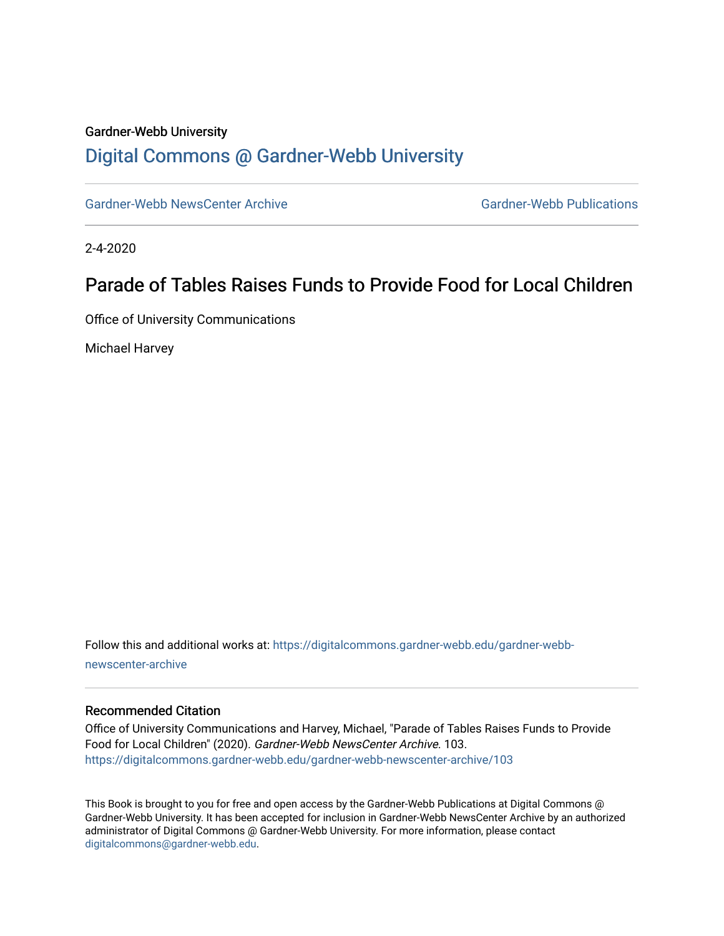#### Gardner-Webb University

## [Digital Commons @ Gardner-Webb University](https://digitalcommons.gardner-webb.edu/)

[Gardner-Webb NewsCenter Archive](https://digitalcommons.gardner-webb.edu/gardner-webb-newscenter-archive) Gardner-Webb Publications

2-4-2020

## Parade of Tables Raises Funds to Provide Food for Local Children

Office of University Communications

Michael Harvey

Follow this and additional works at: [https://digitalcommons.gardner-webb.edu/gardner-webb](https://digitalcommons.gardner-webb.edu/gardner-webb-newscenter-archive?utm_source=digitalcommons.gardner-webb.edu%2Fgardner-webb-newscenter-archive%2F103&utm_medium=PDF&utm_campaign=PDFCoverPages)[newscenter-archive](https://digitalcommons.gardner-webb.edu/gardner-webb-newscenter-archive?utm_source=digitalcommons.gardner-webb.edu%2Fgardner-webb-newscenter-archive%2F103&utm_medium=PDF&utm_campaign=PDFCoverPages)

#### Recommended Citation

Office of University Communications and Harvey, Michael, "Parade of Tables Raises Funds to Provide Food for Local Children" (2020). Gardner-Webb NewsCenter Archive. 103. [https://digitalcommons.gardner-webb.edu/gardner-webb-newscenter-archive/103](https://digitalcommons.gardner-webb.edu/gardner-webb-newscenter-archive/103?utm_source=digitalcommons.gardner-webb.edu%2Fgardner-webb-newscenter-archive%2F103&utm_medium=PDF&utm_campaign=PDFCoverPages)

This Book is brought to you for free and open access by the Gardner-Webb Publications at Digital Commons @ Gardner-Webb University. It has been accepted for inclusion in Gardner-Webb NewsCenter Archive by an authorized administrator of Digital Commons @ Gardner-Webb University. For more information, please contact [digitalcommons@gardner-webb.edu](mailto:digitalcommons@gardner-webb.edu).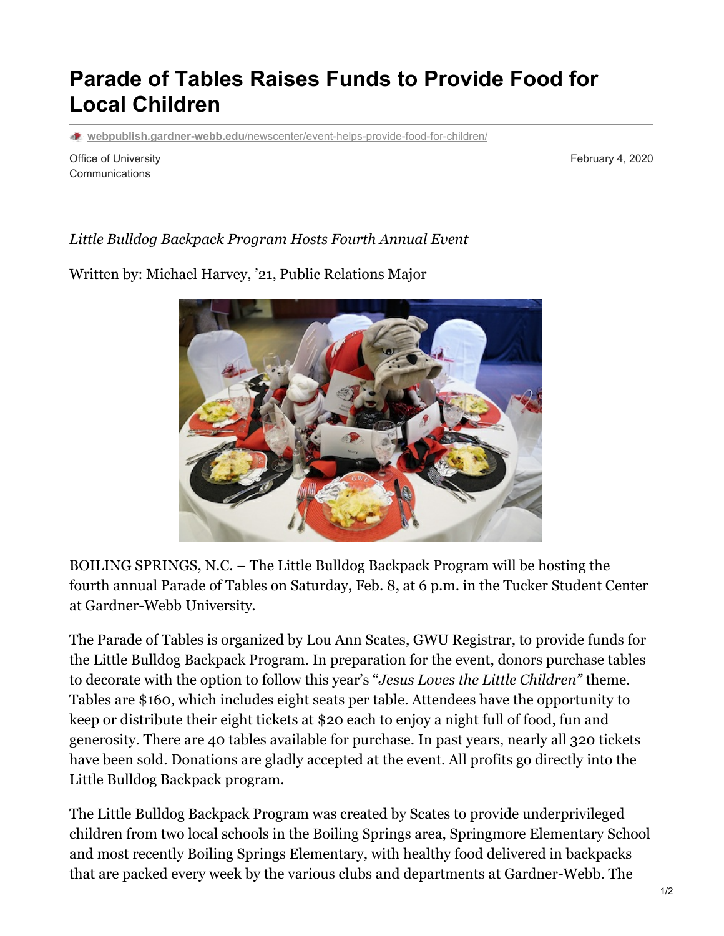# **Parade of Tables Raises Funds to Provide Food for Local Children**

**webpublish.gardner-webb.edu**[/newscenter/event-helps-provide-food-for-children/](https://webpublish.gardner-webb.edu/newscenter/event-helps-provide-food-for-children/)

Office of University **Communications** 

February 4, 2020

### *Little Bulldog Backpack Program Hosts Fourth Annual Event*

Written by: Michael Harvey, '21, Public Relations Major



BOILING SPRINGS, N.C. – The Little Bulldog Backpack Program will be hosting the fourth annual Parade of Tables on Saturday, Feb. 8, at 6 p.m. in the Tucker Student Center at Gardner-Webb University.

The Parade of Tables is organized by Lou Ann Scates, GWU Registrar, to provide funds for the Little Bulldog Backpack Program. In preparation for the event, donors purchase tables to decorate with the option to follow this year's "*Jesus Loves the Little Children"* theme. Tables are \$160, which includes eight seats per table. Attendees have the opportunity to keep or distribute their eight tickets at \$20 each to enjoy a night full of food, fun and generosity. There are 40 tables available for purchase. In past years, nearly all 320 tickets have been sold. Donations are gladly accepted at the event. All profits go directly into the Little Bulldog Backpack program.

The Little Bulldog Backpack Program was created by Scates to provide underprivileged children from two local schools in the Boiling Springs area, Springmore Elementary School and most recently Boiling Springs Elementary, with healthy food delivered in backpacks that are packed every week by the various clubs and departments at Gardner-Webb. The